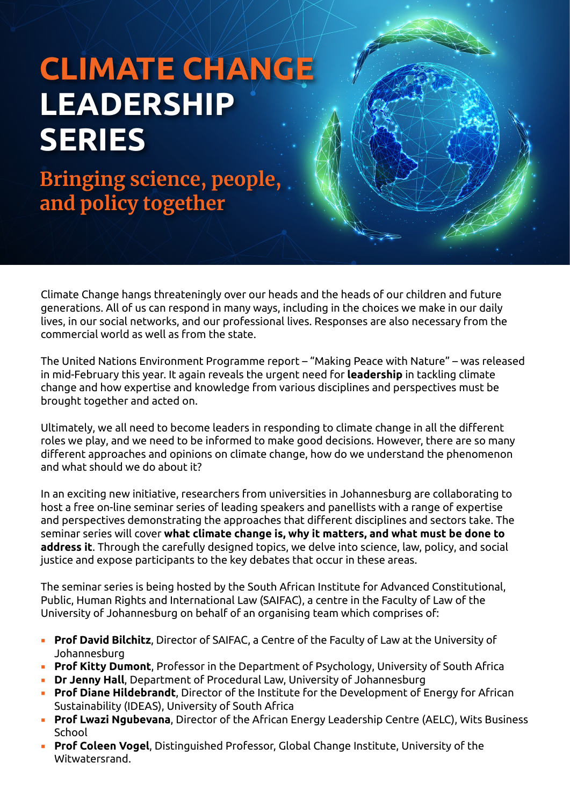## **CLIMATE CHANGE LEADERSHIP SERIES**

**Bringing science, people, and policy together**

Climate Change hangs threateningly over our heads and the heads of our children and future generations. All of us can respond in many ways, including in the choices we make in our daily lives, in our social networks, and our professional lives. Responses are also necessary from the commercial world as well as from the state.

The United Nations Environment Programme report – "Making Peace with Nature" – was released in mid-February this year. It again reveals the urgent need for **leadership** in tackling climate change and how expertise and knowledge from various disciplines and perspectives must be brought together and acted on.

Ultimately, we all need to become leaders in responding to climate change in all the different roles we play, and we need to be informed to make good decisions. However, there are so many different approaches and opinions on climate change, how do we understand the phenomenon and what should we do about it?

In an exciting new initiative, researchers from universities in Johannesburg are collaborating to host a free on-line seminar series of leading speakers and panellists with a range of expertise and perspectives demonstrating the approaches that different disciplines and sectors take. The seminar series will cover **what climate change is, why it matters, and what must be done to address it**. Through the carefully designed topics, we delve into science, law, policy, and social justice and expose participants to the key debates that occur in these areas.

The seminar series is being hosted by the South African Institute for Advanced Constitutional, Public, Human Rights and International Law (SAIFAC), a centre in the Faculty of Law of the University of Johannesburg on behalf of an organising team which comprises of:

- **Prof David Bilchitz**, Director of SAIFAC, a Centre of the Faculty of Law at the University of Johannesburg
- **Prof Kitty Dumont**, Professor in the Department of Psychology, University of South Africa
- **Dr Jenny Hall**, Department of Procedural Law, University of Johannesburg
- **Prof Diane Hildebrandt**, Director of the Institute for the Development of Energy for African Sustainability (IDEAS), University of South Africa
- **Prof Lwazi Ngubevana**, Director of the African Energy Leadership Centre (AELC), Wits Business School
- **Prof Coleen Vogel**, Distinguished Professor, Global Change Institute, University of the Witwatersrand.